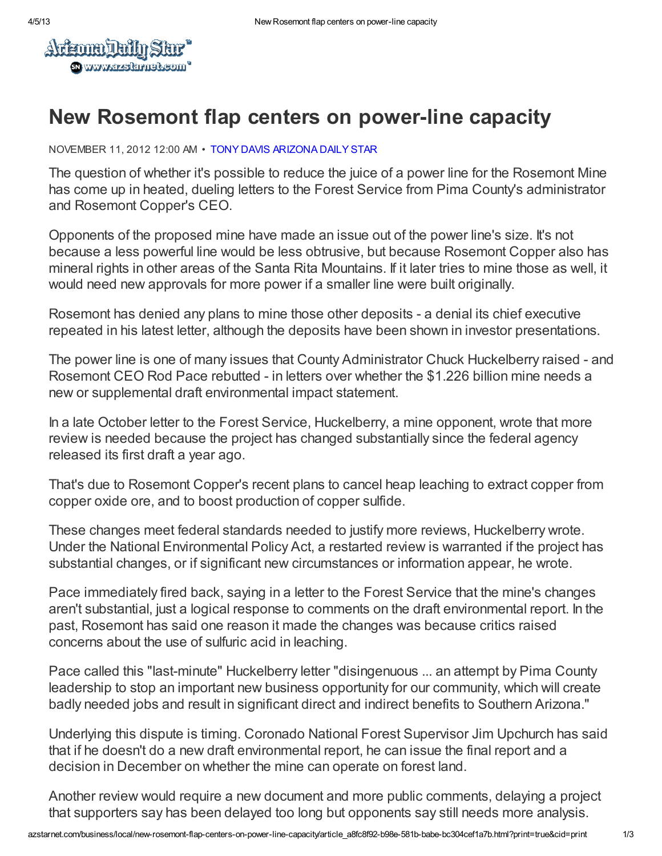

## New Rosemont flap centers on power-line capacity

## NOVEMBER 11, 2012 12:00 AM • TONY DAVIS [ARIZONA](http://azstarnet.com/search/?l=50&sd=desc&s=start_time&f=html&byline=Tony%20Davis%20Arizona%20Daily%20Star) DAILY STAR

The question of whether it's possible to reduce the juice of a power line for the Rosemont Mine has come up in heated, dueling letters to the Forest Service from Pima County's administrator and Rosemont Copper's CEO.

Opponents of the proposed mine have made an issue out of the power line's size. It's not because a less powerful line would be less obtrusive, but because Rosemont Copper also has mineral rights in other areas of the Santa Rita Mountains. If it later tries to mine those as well, it would need new approvals for more power if a smaller line were built originally.

Rosemont has denied any plans to mine those other deposits - a denial its chief executive repeated in his latest letter, although the deposits have been shown in investor presentations.

The power line is one of many issues that County Administrator Chuck Huckelberry raised - and Rosemont CEO Rod Pace rebutted - in letters over whether the \$1.226 billion mine needs a new or supplemental draft environmental impact statement.

In a late October letter to the Forest Service, Huckelberry, a mine opponent, wrote that more review is needed because the project has changed substantially since the federal agency released its first draft a year ago.

That's due to Rosemont Copper's recent plans to cancel heap leaching to extract copper from copper oxide ore, and to boost production of copper sulfide.

These changes meet federal standards needed to justify more reviews, Huckelberry wrote. Under the National Environmental Policy Act, a restarted review is warranted if the project has substantial changes, or if significant new circumstances or information appear, he wrote.

Pace immediately fired back, saying in a letter to the Forest Service that the mine's changes aren't substantial, just a logical response to comments on the draft environmental report. In the past, Rosemont has said one reason it made the changes was because critics raised concerns about the use of sulfuric acid in leaching.

Pace called this "last-minute" Huckelberry letter "disingenuous ... an attempt by Pima County leadership to stop an important new business opportunity for our community, which will create badly needed jobs and result in significant direct and indirect benefits to Southern Arizona."

Underlying this dispute is timing. Coronado National Forest Supervisor Jim Upchurch has said that if he doesn't do a new draft environmental report, he can issue the final report and a decision in December on whether the mine can operate on forest land.

Another review would require a new document and more public comments, delaying a project that supporters say has been delayed too long but opponents say still needs more analysis.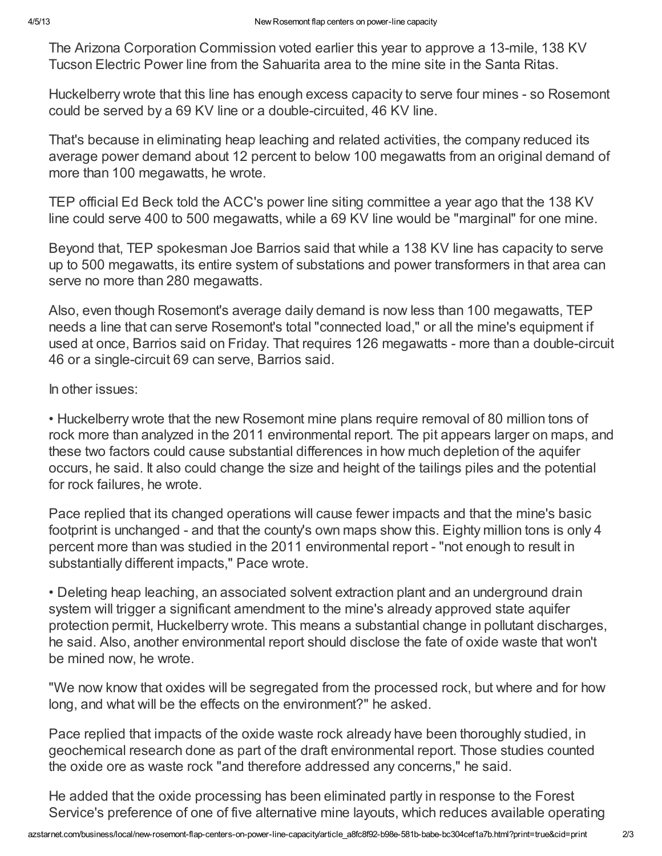The Arizona Corporation Commission voted earlier this year to approve a 13-mile, 138 KV Tucson Electric Power line from the Sahuarita area to the mine site in the Santa Ritas.

Huckelberry wrote that this line has enough excess capacity to serve four mines - so Rosemont could be served by a 69 KV line or a double-circuited, 46 KV line.

That's because in eliminating heap leaching and related activities, the company reduced its average power demand about 12 percent to below 100 megawatts from an original demand of more than 100 megawatts, he wrote.

TEP official Ed Beck told the ACC's power line siting committee a year ago that the 138 KV line could serve 400 to 500 megawatts, while a 69 KV line would be "marginal" for one mine.

Beyond that, TEP spokesman Joe Barrios said that while a 138 KV line has capacity to serve up to 500 megawatts, its entire system of substations and power transformers in that area can serve no more than 280 megawatts.

Also, even though Rosemont's average daily demand is now less than 100 megawatts, TEP needs a line that can serve Rosemont's total "connected load," or all the mine's equipment if used at once, Barrios said on Friday. That requires 126 megawatts - more than a double-circuit 46 or a single-circuit 69 can serve, Barrios said.

In other issues:

• Huckelberry wrote that the new Rosemont mine plans require removal of 80 million tons of rock more than analyzed in the 2011 environmental report. The pit appears larger on maps, and these two factors could cause substantial differences in how much depletion of the aquifer occurs, he said. It also could change the size and height of the tailings piles and the potential for rock failures, he wrote.

Pace replied that its changed operations will cause fewer impacts and that the mine's basic footprint is unchanged - and that the county's own maps show this. Eighty million tons is only 4 percent more than was studied in the 2011 environmental report - "not enough to result in substantially different impacts," Pace wrote.

• Deleting heap leaching, an associated solvent extraction plant and an underground drain system will trigger a significant amendment to the mine's already approved state aquifer protection permit, Huckelberry wrote. This means a substantial change in pollutant discharges, he said. Also, another environmental report should disclose the fate of oxide waste that won't be mined now, he wrote.

"We now know that oxides will be segregated from the processed rock, but where and for how long, and what will be the effects on the environment?" he asked.

Pace replied that impacts of the oxide waste rock already have been thoroughly studied, in geochemical research done as part of the draft environmental report. Those studies counted the oxide ore as waste rock "and therefore addressed any concerns," he said.

He added that the oxide processing has been eliminated partly in response to the Forest Service's preference of one of five alternative mine layouts, which reduces available operating